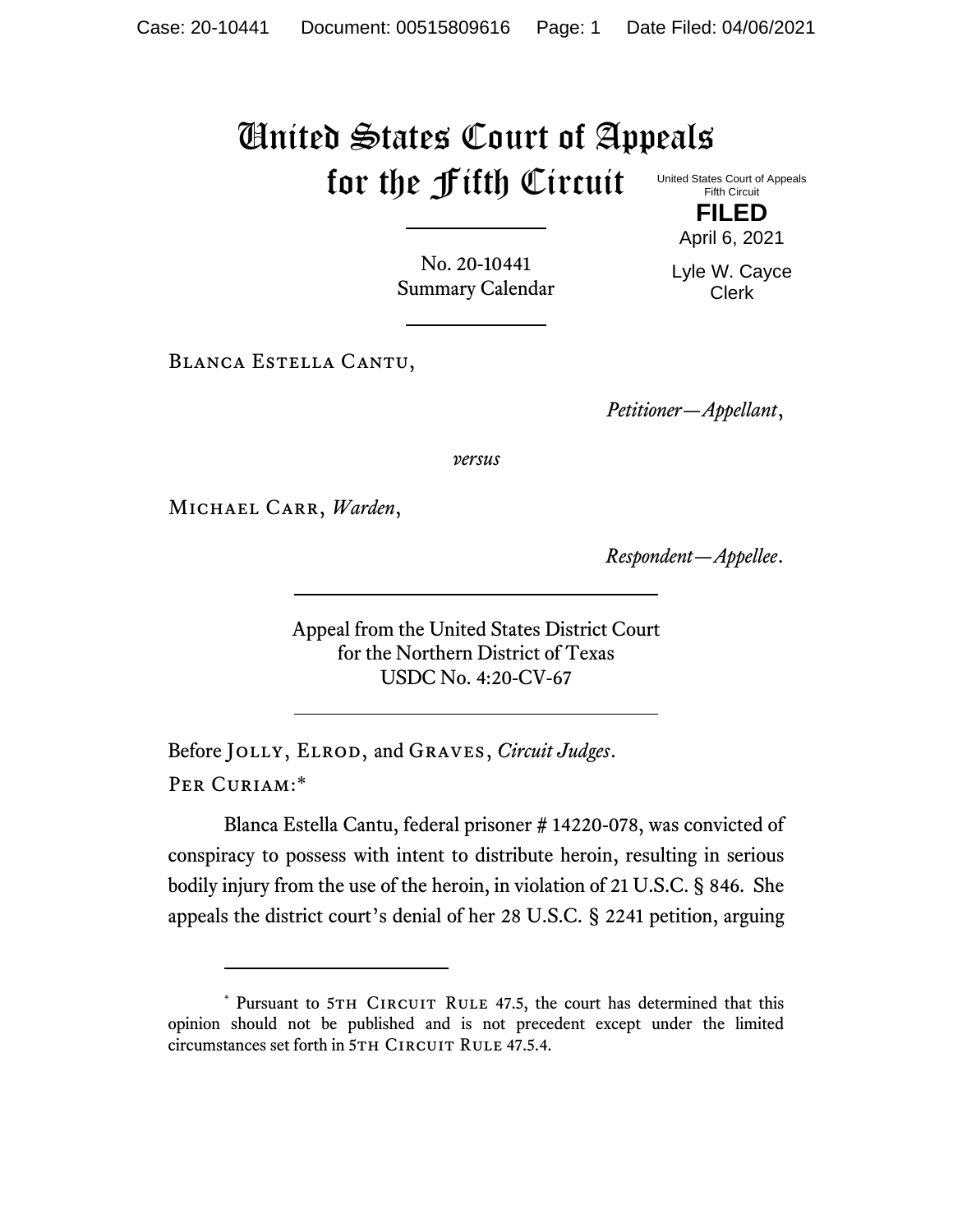## United States Court of Appeals for the Fifth Circuit United States Court of Appeals Fifth Circuit

No. 20-10441 Summary Calendar

**FILED** April 6, 2021

Lyle W. Cayce Clerk

Blanca Estella Cantu,

*Petitioner—Appellant*,

*versus*

Michael Carr, *Warden*,

*Respondent—Appellee*.

Appeal from the United States District Court for the Northern District of Texas USDC No. 4:20-CV-67

Before Jolly, Elrod, and Graves, *Circuit Judges*. Per Curiam:\*

Blanca Estella Cantu, federal prisoner # 14220-078, was convicted of conspiracy to possess with intent to distribute heroin, resulting in serious bodily injury from the use of the heroin, in violation of 21 U.S.C. § 846. She appeals the district court's denial of her 28 U.S.C. § 2241 petition, arguing

<sup>\*</sup> Pursuant to 5TH CIRCUIT RULE 47.5, the court has determined that this opinion should not be published and is not precedent except under the limited circumstances set forth in 5TH CIRCUIT RULE 47.5.4.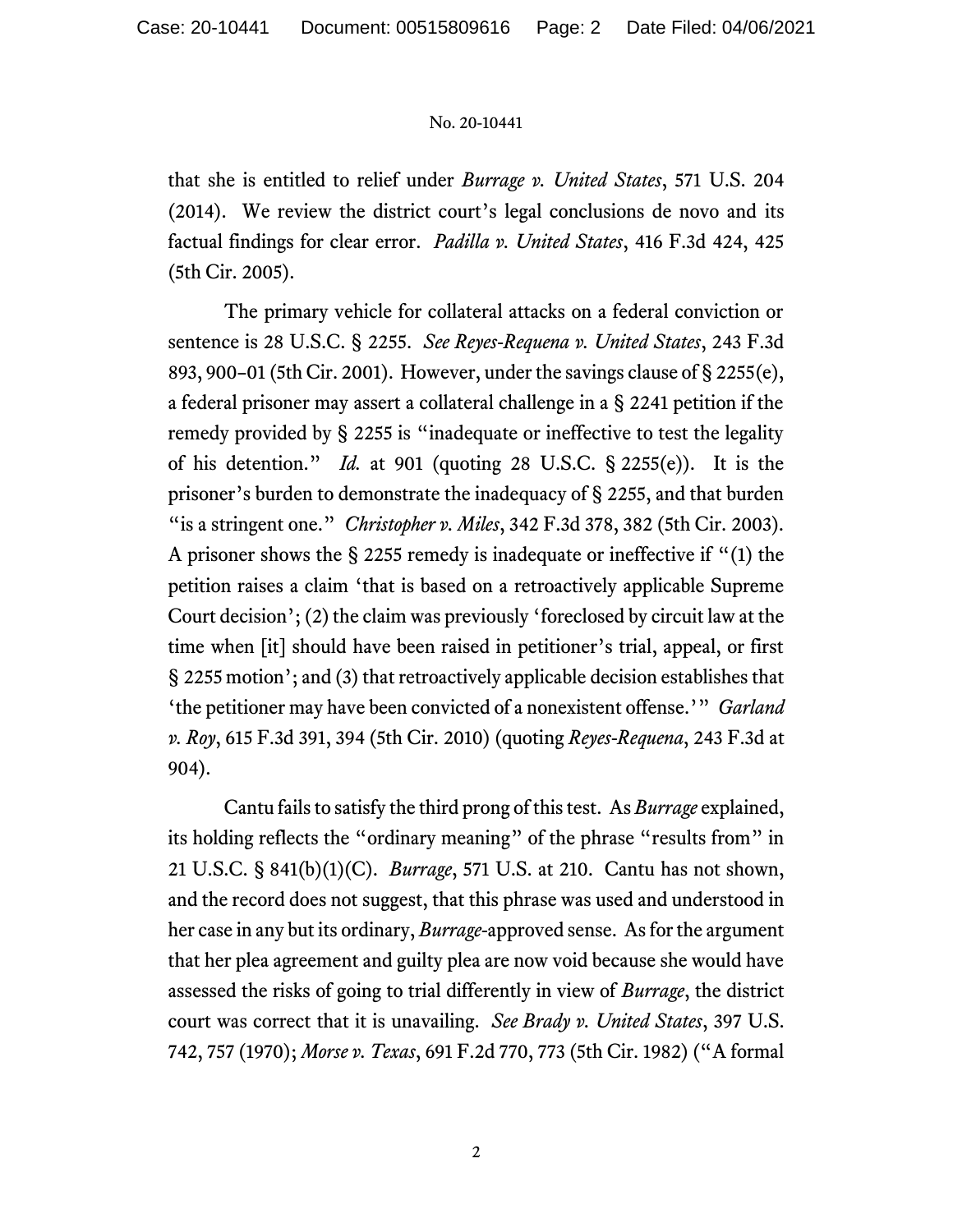## No. 20-10441

that she is entitled to relief under *Burrage v. United States*, 571 U.S. 204 (2014). We review the district court's legal conclusions de novo and its factual findings for clear error. *Padilla v. United States*, 416 F.3d 424, 425 (5th Cir. 2005).

The primary vehicle for collateral attacks on a federal conviction or sentence is 28 U.S.C. § 2255. *See Reyes-Requena v. United States*, 243 F.3d 893, 900–01 (5th Cir. 2001). However, under the savings clause of § 2255(e), a federal prisoner may assert a collateral challenge in a § 2241 petition if the remedy provided by § 2255 is "inadequate or ineffective to test the legality of his detention." *Id.* at 901 (quoting 28 U.S.C. § 2255(e)). It is the prisoner's burden to demonstrate the inadequacy of § 2255, and that burden "is a stringent one." *Christopher v. Miles*, 342 F.3d 378, 382 (5th Cir. 2003). A prisoner shows the § 2255 remedy is inadequate or ineffective if "(1) the petition raises a claim 'that is based on a retroactively applicable Supreme Court decision'; (2) the claim was previously 'foreclosed by circuit law at the time when [it] should have been raised in petitioner's trial, appeal, or first § 2255 motion'; and (3) that retroactively applicable decision establishes that 'the petitioner may have been convicted of a nonexistent offense.'" *Garland v. Roy*, 615 F.3d 391, 394 (5th Cir. 2010) (quoting *Reyes-Requena*, 243 F.3d at 904).

Cantu fails to satisfy the third prong of this test. As *Burrage* explained, its holding reflects the "ordinary meaning" of the phrase "results from" in 21 U.S.C. § 841(b)(1)(C). *Burrage*, 571 U.S. at 210. Cantu has not shown, and the record does not suggest, that this phrase was used and understood in her case in any but its ordinary, *Burrage*-approved sense. As for the argument that her plea agreement and guilty plea are now void because she would have assessed the risks of going to trial differently in view of *Burrage*, the district court was correct that it is unavailing. *See Brady v. United States*, 397 U.S. 742, 757 (1970); *Morse v. Texas*, 691 F.2d 770, 773 (5th Cir. 1982) ("A formal